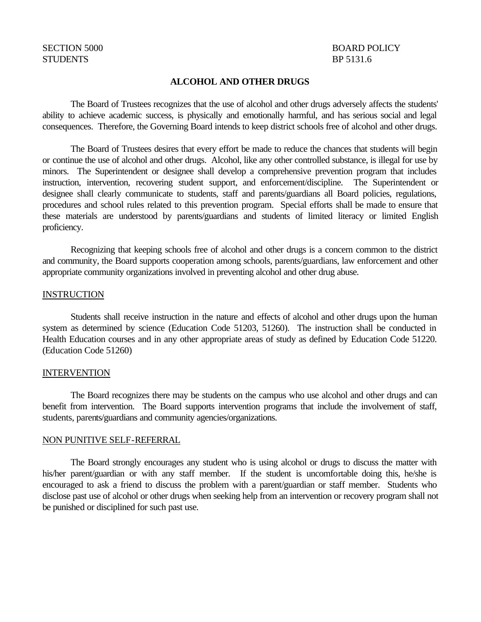# STUDENTS BP 5131.6

# SECTION 5000 BOARD POLICY

### **ALCOHOL AND OTHER DRUGS**

The Board of Trustees recognizes that the use of alcohol and other drugs adversely affects the students' ability to achieve academic success, is physically and emotionally harmful, and has serious social and legal consequences. Therefore, the Governing Board intends to keep district schools free of alcohol and other drugs.

The Board of Trustees desires that every effort be made to reduce the chances that students will begin or continue the use of alcohol and other drugs. Alcohol, like any other controlled substance, is illegal for use by minors. The Superintendent or designee shall develop a comprehensive prevention program that includes instruction, intervention, recovering student support, and enforcement/discipline. The Superintendent or designee shall clearly communicate to students, staff and parents/guardians all Board policies, regulations, procedures and school rules related to this prevention program. Special efforts shall be made to ensure that these materials are understood by parents/guardians and students of limited literacy or limited English proficiency.

Recognizing that keeping schools free of alcohol and other drugs is a concern common to the district and community, the Board supports cooperation among schools, parents/guardians, law enforcement and other appropriate community organizations involved in preventing alcohol and other drug abuse.

#### INSTRUCTION

Students shall receive instruction in the nature and effects of alcohol and other drugs upon the human system as determined by science (Education Code 51203, 51260). The instruction shall be conducted in Health Education courses and in any other appropriate areas of study as defined by Education Code 51220. (Education Code 51260)

#### INTERVENTION

The Board recognizes there may be students on the campus who use alcohol and other drugs and can benefit from intervention. The Board supports intervention programs that include the involvement of staff, students, parents/guardians and community agencies/organizations.

#### NON PUNITIVE SELF-REFERRAL

The Board strongly encourages any student who is using alcohol or drugs to discuss the matter with his/her parent/guardian or with any staff member. If the student is uncomfortable doing this, he/she is encouraged to ask a friend to discuss the problem with a parent/guardian or staff member. Students who disclose past use of alcohol or other drugs when seeking help from an intervention or recovery program shall not be punished or disciplined for such past use.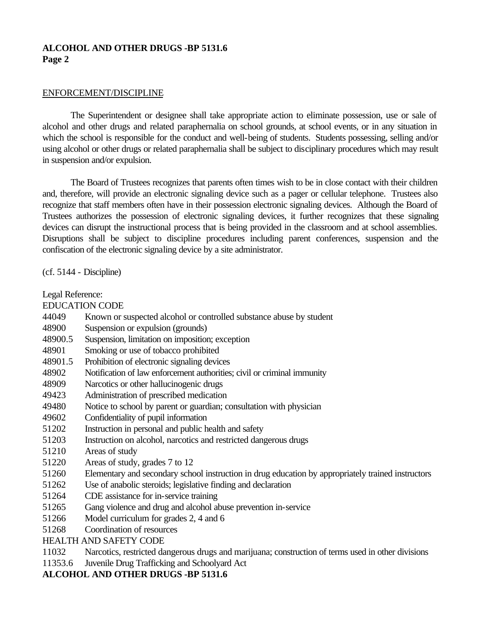# **ALCOHOL AND OTHER DRUGS -BP 5131.6 Page 2**

#### ENFORCEMENT/DISCIPLINE

The Superintendent or designee shall take appropriate action to eliminate possession, use or sale of alcohol and other drugs and related paraphernalia on school grounds, at school events, or in any situation in which the school is responsible for the conduct and well-being of students. Students possessing, selling and/or using alcohol or other drugs or related paraphernalia shall be subject to disciplinary procedures which may result in suspension and/or expulsion.

The Board of Trustees recognizes that parents often times wish to be in close contact with their children and, therefore, will provide an electronic signaling device such as a pager or cellular telephone. Trustees also recognize that staff members often have in their possession electronic signaling devices. Although the Board of Trustees authorizes the possession of electronic signaling devices, it further recognizes that these signaling devices can disrupt the instructional process that is being provided in the classroom and at school assemblies. Disruptions shall be subject to discipline procedures including parent conferences, suspension and the confiscation of the electronic signaling device by a site administrator.

(cf. 5144 - Discipline)

Legal Reference:

EDUCATION CODE

- 44049 Known or suspected alcohol or controlled substance abuse by student
- 48900 Suspension or expulsion (grounds)
- 48900.5 Suspension, limitation on imposition; exception
- 48901 Smoking or use of tobacco prohibited
- 48901.5 Prohibition of electronic signaling devices
- 48902 Notification of law enforcement authorities; civil or criminal immunity
- 48909 Narcotics or other hallucinogenic drugs
- 49423 Administration of prescribed medication
- 49480 Notice to school by parent or guardian; consultation with physician
- 49602 Confidentiality of pupil information
- 51202 Instruction in personal and public health and safety
- 51203 Instruction on alcohol, narcotics and restricted dangerous drugs
- 51210 Areas of study
- 51220 Areas of study, grades 7 to 12
- 51260 Elementary and secondary school instruction in drug education by appropriately trained instructors
- 51262 Use of anabolic steroids; legislative finding and declaration
- 51264 CDE assistance for in-service training
- 51265 Gang violence and drug and alcohol abuse prevention in-service
- 51266 Model curriculum for grades 2, 4 and 6
- 51268 Coordination of resources

HEALTH AND SAFETY CODE

- 11032 Narcotics, restricted dangerous drugs and marijuana; construction of terms used in other divisions
- 11353.6 Juvenile Drug Trafficking and Schoolyard Act

**ALCOHOL AND OTHER DRUGS -BP 5131.6**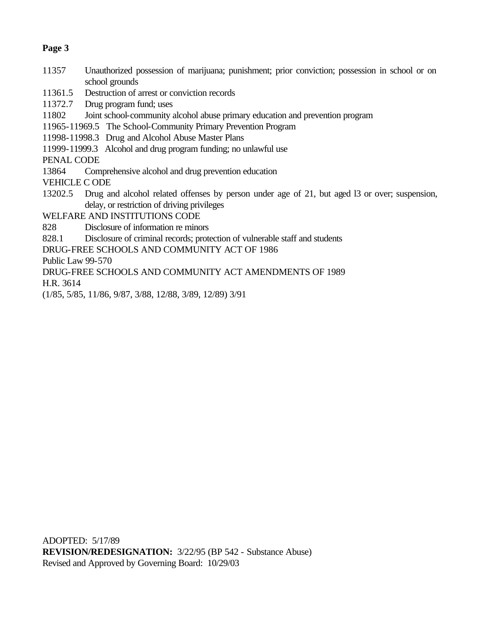# **Page 3**

- 11357 Unauthorized possession of marijuana; punishment; prior conviction; possession in school or on school grounds
- 11361.5 Destruction of arrest or conviction records

11372.7 Drug program fund; uses

- 11802 Joint school-community alcohol abuse primary education and prevention program
- 11965-11969.5 The School-Community Primary Prevention Program
- 11998-11998.3 Drug and Alcohol Abuse Master Plans
- 11999-11999.3 Alcohol and drug program funding; no unlawful use

PENAL CODE

13864 Comprehensive alcohol and drug prevention education

VEHICLE C ODE

- 13202.5 Drug and alcohol related offenses by person under age of 21, but aged l3 or over; suspension, delay, or restriction of driving privileges
- WELFARE AND INSTITUTIONS CODE
- 828 Disclosure of information re minors
- 828.1 Disclosure of criminal records; protection of vulnerable staff and students
- DRUG-FREE SCHOOLS AND COMMUNITY ACT OF 1986

Public Law 99-570

DRUG-FREE SCHOOLS AND COMMUNITY ACT AMENDMENTS OF 1989

H.R. 3614

(1/85, 5/85, 11/86, 9/87, 3/88, 12/88, 3/89, 12/89) 3/91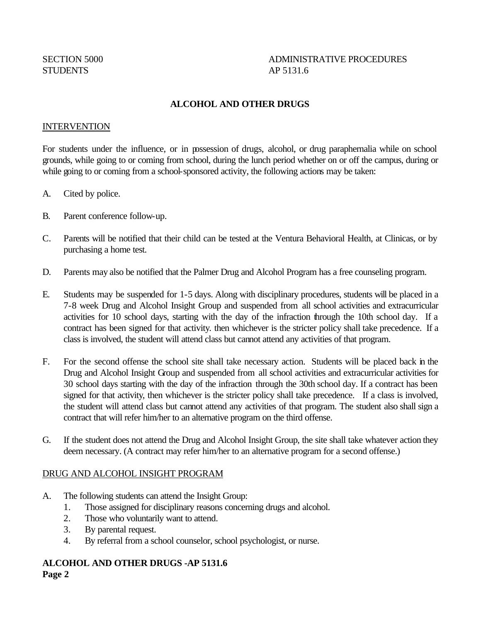# SECTION 5000 ADMINISTRATIVE PROCEDURES

# **ALCOHOL AND OTHER DRUGS**

### INTERVENTION

For students under the influence, or in possession of drugs, alcohol, or drug paraphernalia while on school grounds, while going to or coming from school, during the lunch period whether on or off the campus, during or while going to or coming from a school-sponsored activity, the following actions may be taken:

- A. Cited by police.
- B. Parent conference follow-up.
- C. Parents will be notified that their child can be tested at the Ventura Behavioral Health, at Clinicas, or by purchasing a home test.
- D. Parents may also be notified that the Palmer Drug and Alcohol Program has a free counseling program.
- E. Students may be suspended for 1-5 days. Along with disciplinary procedures, students will be placed in a 7-8 week Drug and Alcohol Insight Group and suspended from all school activities and extracurricular activities for 10 school days, starting with the day of the infraction through the 10th school day. If a contract has been signed for that activity. then whichever is the stricter policy shall take precedence. If a class is involved, the student will attend class but cannot attend any activities of that program.
- F. For the second offense the school site shall take necessary action. Students will be placed back in the Drug and Alcohol Insight Group and suspended from all school activities and extracurricular activities for 30 school days starting with the day of the infraction through the 30th school day. If a contract has been signed for that activity, then whichever is the stricter policy shall take precedence. If a class is involved, the student will attend class but cannot attend any activities of that program. The student also shall sign a contract that will refer him/her to an alternative program on the third offense.
- G. If the student does not attend the Drug and Alcohol Insight Group, the site shall take whatever action they deem necessary. (A contract may refer him/her to an alternative program for a second offense.)

## DRUG AND ALCOHOL INSIGHT PROGRAM

- A. The following students can attend the Insight Group:
	- 1. Those assigned for disciplinary reasons concerning drugs and alcohol.
	- 2. Those who voluntarily want to attend.
	- 3. By parental request.
	- 4. By referral from a school counselor, school psychologist, or nurse.

## **ALCOHOL AND OTHER DRUGS -AP 5131.6**

**Page 2**